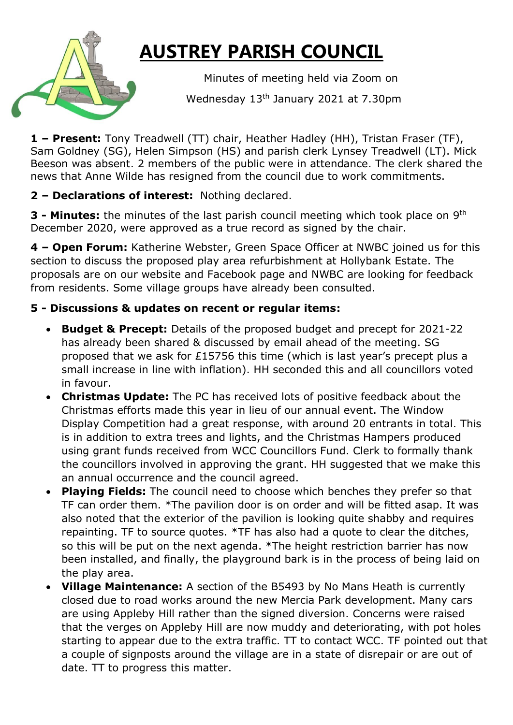## **AUSTREY PARISH COUNCIL**

 Minutes of meeting held via Zoom on Wednesday 13th January 2021 at 7.30pm

**1 – Present:** Tony Treadwell (TT) chair, Heather Hadley (HH), Tristan Fraser (TF), Sam Goldney (SG), Helen Simpson (HS) and parish clerk Lynsey Treadwell (LT). Mick Beeson was absent. 2 members of the public were in attendance. The clerk shared the news that Anne Wilde has resigned from the council due to work commitments.

**2 – Declarations of interest:** Nothing declared.

**3 - Minutes:** the minutes of the last parish council meeting which took place on 9<sup>th</sup> December 2020, were approved as a true record as signed by the chair.

**4 – Open Forum:** Katherine Webster, Green Space Officer at NWBC joined us for this section to discuss the proposed play area refurbishment at Hollybank Estate. The proposals are on our website and Facebook page and NWBC are looking for feedback from residents. Some village groups have already been consulted.

## **5 - Discussions & updates on recent or regular items:**

- **Budget & Precept:** Details of the proposed budget and precept for 2021-22 has already been shared & discussed by email ahead of the meeting. SG proposed that we ask for £15756 this time (which is last year's precept plus a small increase in line with inflation). HH seconded this and all councillors voted in favour.
- **Christmas Update:** The PC has received lots of positive feedback about the Christmas efforts made this year in lieu of our annual event. The Window Display Competition had a great response, with around 20 entrants in total. This is in addition to extra trees and lights, and the Christmas Hampers produced using grant funds received from WCC Councillors Fund. Clerk to formally thank the councillors involved in approving the grant. HH suggested that we make this an annual occurrence and the council agreed.
- **Playing Fields:** The council need to choose which benches they prefer so that TF can order them. \*The pavilion door is on order and will be fitted asap. It was also noted that the exterior of the pavilion is looking quite shabby and requires repainting. TF to source quotes. \*TF has also had a quote to clear the ditches, so this will be put on the next agenda. \*The height restriction barrier has now been installed, and finally, the playground bark is in the process of being laid on the play area.
- **Village Maintenance:** A section of the B5493 by No Mans Heath is currently closed due to road works around the new Mercia Park development. Many cars are using Appleby Hill rather than the signed diversion. Concerns were raised that the verges on Appleby Hill are now muddy and deteriorating, with pot holes starting to appear due to the extra traffic. TT to contact WCC. TF pointed out that a couple of signposts around the village are in a state of disrepair or are out of date. TT to progress this matter.